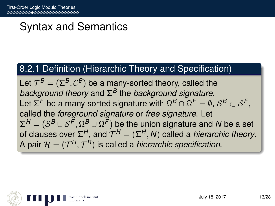# Syntax and Semantics

### 8.2.1 Definition (Hierarchic Theory and Specification)

Let  $\mathcal{T}^{\mathcal{B}} = (\Sigma^{\mathcal{B}}, \mathcal{C}^{\mathcal{B}})$  be a many-sorted theory, called the *background theory* and Σ *<sup>B</sup>* the *background signature*. Let  $\Sigma^\digamma$  be a many sorted signature with  $\Omega^\mathcal{B}\cap\Omega^\digamma=\emptyset,$   $\mathcal{S}^\mathcal{B}\subset\mathcal{S}^\digamma,$ called the *foreground signature* or *free signature*. Let  $\Sigma^H = (\mathcal{S}^B \cup \mathcal{S}^F,\Omega^B \cup \Omega^F)$  be the union signature and *N* be a set of clauses over Σ<sup>H</sup>, and  $\mathcal{T}^H = (\Sigma^H, \mathcal{N})$  called a *hierarchic theory*. A pair  $\mathcal{H} = (\mathcal{T}^{H}, \mathcal{T}^{B})$  is called a *hierarchic specification*.

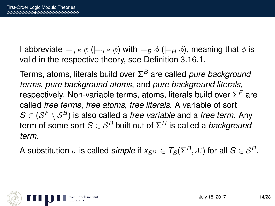I abbreviate  $\models_{\mathcal{TB}} \phi \ (\models_{\mathcal{TH}} \phi)$  with  $\models_{\mathcal{B}} \phi \ (\models_{\mathcal{H}} \phi)$ , meaning that  $\phi$  is valid in the respective theory, see Definition 3.16.1.

Terms, atoms, literals build over Σ *<sup>B</sup>* are called *pure background terms*, *pure background atoms*, and *pure background literals*, respectively. Non-variable terms, atoms, literals build over Σ *<sup>F</sup>* are called *free terms*, *free atoms*, *free literals*. A variable of sort  $\mathcal{S} \in (\mathcal{S}^{\mathcal{F}} \setminus \mathcal{S}^{\mathcal{B}})$  is also called a *free variable* and a *free term*. Any term of some sort *S* ∈ S*<sup>B</sup>* built out of Σ *<sup>H</sup>* is called a *background term*.

A substitution  $\sigma$  is called *simple* if  $x_{S} \sigma \in T_{S}(\Sigma^{B}, \mathcal{X})$  for all  $S \in \mathcal{S}^{B}$ .

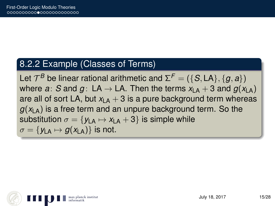### 8.2.2 Example (Classes of Terms)

Let  $\mathcal{T}^{\mathcal{B}}$  be linear rational arithmetic and  $\Sigma^{\mathcal{F}} = (\{\mathcal{S}, \mathsf{LA}\}, \{g, a\})$ where *a*: *S* and *g* : LA  $\rightarrow$  LA. Then the terms  $x_{\text{LA}} + 3$  and  $g(x_{\text{LA}})$ are all of sort LA, but  $x_{\text{A}}+3$  is a pure background term whereas  $g(x<sub>LA</sub>)$  is a free term and an unpure background term. So the substitution  $\sigma = \{y_{\vert A} \mapsto x_{\vert A} + 3\}$  is simple while  $\sigma = \{y_{\text{LA}} \mapsto q(x_{\text{LA}})\}\$ is not.

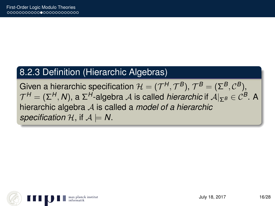## 8.2.3 Definition (Hierarchic Algebras)

Given a hierarchic specification  $\mathcal{H} = (\mathcal{T}^H, \mathcal{T}^B), \, \mathcal{T}^B = (\Sigma^B, \mathcal{C}^B),$  $\mathcal{T}^H = (\Sigma^H, N)$ , a  $\Sigma^H$ -algebra  $\mathcal A$  is called *hierarchic* if  $\mathcal A|_{\Sigma^B} \in \mathcal C^B.$  A hierarchic algebra A is called a *model of a hierarchic specification*  $H$ , if  $A \models N$ .

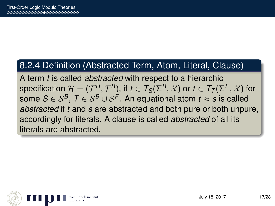#### 8.2.4 Definition (Abstracted Term, Atom, Literal, Clause)

A term *t* is called *abstracted* with respect to a hierarchic specification  $\mathcal{H}=(\mathcal{T}^H_{-},\mathcal{T}^B)$ , if  $t\in \mathcal{T}_S(\Sigma^B,\mathcal{X})$  or  $t\in \mathcal{T}_\mathcal{T}(\Sigma^F,\mathcal{X})$  for some  $\mathcal{S} \in \mathcal{S}^{\mathcal{B}},\ \mathcal{T} \in \mathcal{S}^{\mathcal{B}} \cup \mathcal{S}^{\mathcal{F}}.$  An equational atom  $t \approx \boldsymbol{s}$  is called *abstracted* if *t* and *s* are abstracted and both pure or both unpure, accordingly for literals. A clause is called *abstracted* of all its literals are abstracted.

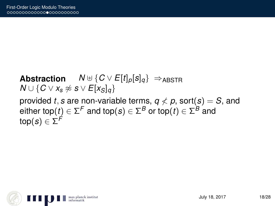**Abstraction**  $N \oplus \{ C \vee E[t]_p[s]_q \} \Rightarrow_{ABSTR}$ *N* ∪ { $C \vee x_s \not\approx s \vee E[x_s]_q$ } provided *t*, *s* are non-variable terms,  $q \nless p$ , sort(*s*) = *S*, and  $\mathsf{either\ top}(t) \in \mathsf{\Sigma}^\mathsf{F}$  and  $\mathsf{top}(s) \in \mathsf{\Sigma}^\mathsf{B}$  or  $\mathsf{top}(t) \in \mathsf{\Sigma}^\mathsf{B}$  and top(*s*) ∈ Σ *F*

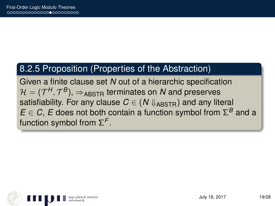## 8.2.5 Proposition (Properties of the Abstraction)

Given a finite clause set *N* out of a hierarchic specification  $\mathcal{H} = (\mathcal{T}^H, \mathcal{T}^B), \Rightarrow_\text{ABSTR}$  terminates on  $\boldsymbol{N}$  and preserves satisfiability. For any clause  $C \in (N \Downarrow_{ABSTR})$  and any literal  $E \in \mathcal{C}$ , *E* does not both contain a function symbol from  $\Sigma^B$  and a function symbol from Σ *F* .

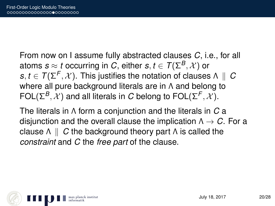From now on I assume fully abstracted clauses *C*, i.e., for all atoms  $s \approx t$  occurring in *C*, either  $s, t \in \mathcal{T}(\Sigma^B, \mathcal{X})$  or  $s,t \in \mathcal{T}(\Sigma^{\mathsf{F}}, \mathcal{X}).$  This justifies the notation of clauses  $\Lambda \parallel C$ where all pure background literals are in Λ and belong to  $FOL(\Sigma^B, \mathcal{X})$  and all literals in *C* belong to  $FOL(\Sigma^F, \mathcal{X})$ .

The literals in Λ form a conjunction and the literals in *C* a disjunction and the overall clause the implication  $\Lambda \to C$ . For a clause  $Λ$  || *C* the background theory part Λ is called the *constraint* and *C* the *free part* of the clause.

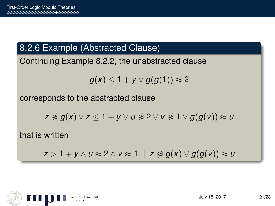## 8.2.6 Example (Abstracted Clause)

Continuing Example 8.2.2, the unabstracted clause

$$
g(x) \leq 1 + y \vee g(g(1)) \approx 2
$$

corresponds to the abstracted clause

$$
z \not\approx g(x) \vee z \leq 1 + y \vee u \not\approx 2 \vee v \not\approx 1 \vee g(g(v)) \approx u
$$

that is written

$$
z>1+y \wedge u \approx 2 \wedge v \approx 1 \parallel z \not\approx g(x) \vee g(g(v)) \approx u
$$

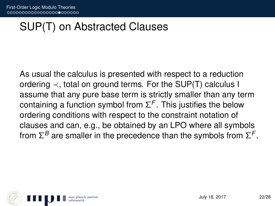## SUP(T) on Abstracted Clauses

As usual the calculus is presented with respect to a reduction ordering  $\prec$ , total on ground terms. For the SUP(T) calculus I assume that any pure base term is strictly smaller than any term containing a function symbol from  $\Sigma^\mathcal{F}$ . This justifies the below ordering conditions with respect to the constraint notation of clauses and can, e.g., be obtained by an LPO where all symbols from  $\Sigma^B$  are smaller in the precedence than the symbols from  $\Sigma^\mathsf{F}.$ 

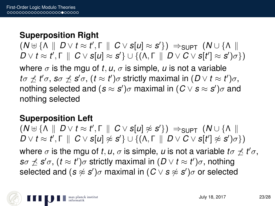### **Superposition Right**

 $(N \oplus {\Lambda} \parallel D \vee t \approx t', \Gamma \parallel C \vee s[u] \approx s' {\}) \Rightarrow_{\text{SUPT}} (N \cup {\Lambda} \parallel$  $D \vee t ≈ t',$  Γ  $\parallel C \vee$  *s*[*u*] ≈ *s'*} ∪ {(Λ, Γ  $\parallel D \vee C \vee$  *s*[*t'*] ≈ *s'*) $\sigma$ }) where  $\sigma$  is the mgu of *t*, *u*,  $\sigma$  is simple, *u* is not a variable *to*  $\measuredangle$  *t'σ, sσ*  $\measuredangle$  *s'σ,*  $(t \approx t')\sigma$  *strictly maximal in*  $(D \vee t \approx t')\sigma,$ nothing selected and  $(\bm{s} \approx \bm{s}')\sigma$  maximal in  $(\bm{C} \vee \bm{s} \approx \bm{s}')\sigma$  and nothing selected

#### **Superposition Left**

 $(N \uplus {\Lambda} \parallel D \vee t \approx t', \Gamma \parallel C \vee s[u] \not\approx s' {\}) \Rightarrow_{\text{SUPT}} (N \cup {\Lambda} \parallel$  $D \vee t \approx t', \Gamma \parallel C \vee s[u] \not\approx s' \} \cup \{ (\Lambda, \Gamma \parallel D \vee C \vee s[t'] \not\approx s')\sigma \})$ where  $\sigma$  is the mgu of *t*, *u*,  $\sigma$  is simple, *u* is not a variable  $t\sigma \not\preceq t'\sigma$ , *s* $\sigma \nleq s'$ *σ*,  $(t \approx t')$ *σ* strictly maximal in  $(D \vee t \approx t')$ *σ*, nothing  $\mathsf{s}$ elected and  $(\mathcal{s} \not\approx \mathcal{s}')\sigma$  maximal in  $(C \vee \mathcal{s} \not\approx \mathcal{s}')\sigma$  or selected

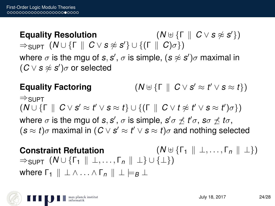$E$ *guality Resolution*  $(N \cup \{\Gamma \parallel C \vee s \not\approx s'\})$  $\Rightarrow$ supt  $(N \cup \{\Gamma \parallel C \vee s \not\approx s'\} \cup \{(\Gamma \parallel C) \sigma\})$ where  $\sigma$  is the mgu of *s*, *s'*,  $\sigma$  is simple,  $(\bm{s} \not\approx \bm{s}')\sigma$  maximal in  $(C \vee s \not\approx s')\sigma$  or selected

**Equality Factoring**  $v' \approx t' \vee s \approx t$ })  $\Rightarrow$ SUPT  $(W \cup \{\Gamma \parallel C \vee s' \approx t' \vee s \approx t\} \cup \{(\Gamma \parallel C \vee t \not\approx t' \vee s \approx t')\sigma\})$ where  $\sigma$  is the mgu of *s*, *s'* ,  $\sigma$  is simple,  $\bm{s}'\sigma\not\preceq\bm{t}'\sigma$ ,  $\bm{s}\sigma\not\preceq\bm{t}\sigma$ ,  $(s \approx t) \sigma$  maximal in  $(C \vee s' \approx t' \vee s \approx t) \sigma$  and nothing selected

**Constraint Refutation**  $(N \cup \{ \Gamma_1 \parallel \bot, ..., \Gamma_n \parallel \bot \})$  $\Rightarrow$ SUPT  $(N \cup \{F_1 \mid \bot, \ldots, F_n \mid \bot\} \cup \{\bot\})$ where  $\Gamma_1 \parallel \bot \wedge ... \wedge \Gamma_n \parallel \bot \models_B \bot$ 

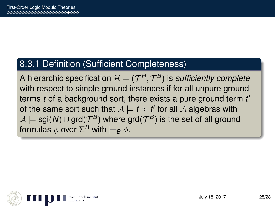### 8.3.1 Definition (Sufficient Completeness)

A hierarchic specification  $\mathcal{H} = (\mathcal{T}^H, \mathcal{T}^B)$  is *sufficiently complete* with respect to simple ground instances if for all unpure ground terms *t* of a background sort, there exists a pure ground term *t* 0 of the same sort such that  $A \models t \approx t'$  for all  $A$  algebras with  $\mathcal{A} \models \mathsf{sgi}(\mathcal{N}) \cup \mathsf{grd}(\mathcal{T}^{\mathcal{B}})$  where  $\mathsf{grd}(\mathcal{T}^{\mathcal{B}})$  is the set of all ground formulas  $\phi$  over  $\Sigma^B$  with  $\models_B \phi$ .

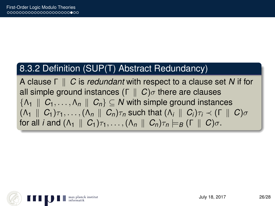### 8.3.2 Definition (SUP(T) Abstract Redundancy)

A clause Γ k *C* is *redundant* with respect to a clause set *N* if for all simple ground instances  $(\Gamma \parallel C)\sigma$  there are clauses  $\{\Lambda_1 \parallel C_1, \ldots, \Lambda_n \parallel C_n\} \subset \mathbb{N}$  with simple ground instances  $(A_1 \parallel C_1)\tau_1, \ldots, (A_n \parallel C_n)\tau_n$  such that  $(A_i \parallel C_i)\tau_i \prec (\Gamma \parallel C)\sigma$ for all *i* and  $(\Lambda_1 \parallel C_1)\tau_1, \ldots, (\Lambda_n \parallel C_n)\tau_n \models_B (\Gamma \parallel C)\sigma$ .